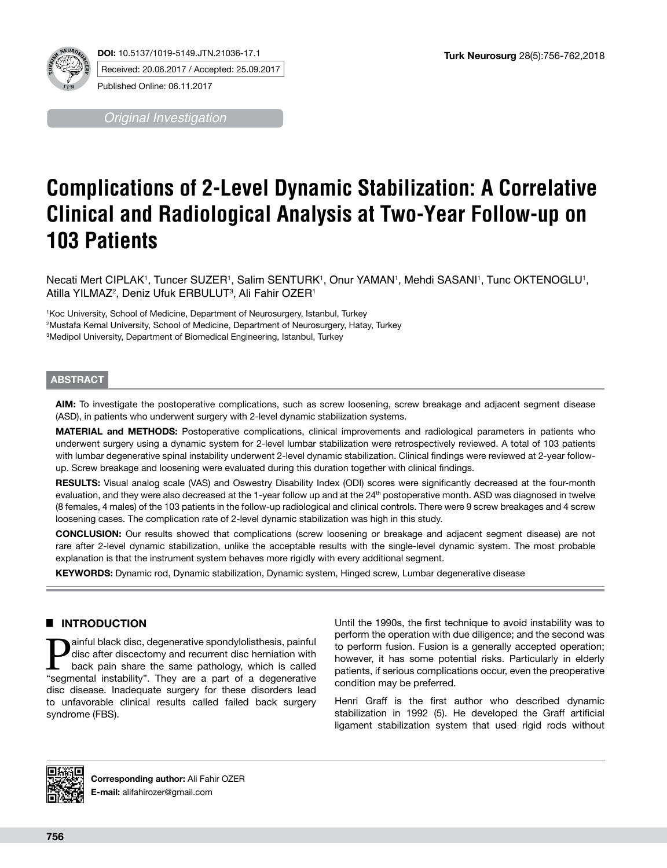

**DOI:** 10.5137/1019-5149.JTN.21036-17.1 Received: 20.06.2017 / Accepted: 25.09.2017 Published Online: 06.11.2017

*Original Investigation*

# **Complications of 2-Level Dynamic Stabilization: A Correlative Clinical and Radiological Analysis at Two-Year Follow-up on 103 Patients**

Necati Mert CIPLAK', Tuncer SUZER', Salim SENTURK', Onur YAMAN', Mehdi SASANI', Tunc OKTENOGLU', Atilla YILMAZ<sup>2</sup>, Deniz Ufuk ERBULUT<sup>3</sup>, Ali Fahir OZER<sup>1</sup>

1 Koc University, School of Medicine, Department of Neurosurgery, Istanbul, Turkey 2 Mustafa Kemal University, School of Medicine, Department of Neurosurgery, Hatay, Turkey 3 Medipol University, Department of Biomedical Engineering, Istanbul, Turkey

# **ABSTRACT**

**AIM:** To investigate the postoperative complications, such as screw loosening, screw breakage and adjacent segment disease (ASD), in patients who underwent surgery with 2-level dynamic stabilization systems.

**MATERIAL and METHODS:** Postoperative complications, clinical improvements and radiological parameters in patients who underwent surgery using a dynamic system for 2-level lumbar stabilization were retrospectively reviewed. A total of 103 patients with lumbar degenerative spinal instability underwent 2-level dynamic stabilization. Clinical findings were reviewed at 2-year followup. Screw breakage and loosening were evaluated during this duration together with clinical findings.

**RESULTS:** Visual analog scale (VAS) and Oswestry Disability Index (ODI) scores were significantly decreased at the four-month evaluation, and they were also decreased at the 1-year follow up and at the 24<sup>th</sup> postoperative month. ASD was diagnosed in twelve (8 females, 4 males) of the 103 patients in the follow-up radiological and clinical controls. There were 9 screw breakages and 4 screw loosening cases. The complication rate of 2-level dynamic stabilization was high in this study.

**CONCLUSION:** Our results showed that complications (screw loosening or breakage and adjacent segment disease) are not rare after 2-level dynamic stabilization, unlike the acceptable results with the single-level dynamic system. The most probable explanation is that the instrument system behaves more rigidly with every additional segment.

**KEYWORDS:** Dynamic rod, Dynamic stabilization, Dynamic system, Hinged screw, Lumbar degenerative disease

# █ **INTRODUCTION**

**Painful black disc, degenerative spondylolisthesis, painful disc after discectomy and recurrent disc herniation with back pain share the same pathology, which is called "segmental instability". They are a part of a degene** disc after discectomy and recurrent disc herniation with "segmental instability". They are a part of a degenerative disc disease. Inadequate surgery for these disorders lead to unfavorable clinical results called failed back surgery syndrome (FBS).

Until the 1990s, the first technique to avoid instability was to perform the operation with due diligence; and the second was to perform fusion. Fusion is a generally accepted operation; however, it has some potential risks. Particularly in elderly patients, if serious complications occur, even the preoperative condition may be preferred.

Henri Graff is the first author who described dynamic stabilization in 1992 (5). He developed the Graff artificial ligament stabilization system that used rigid rods without



**Corresponding author:** Ali Fahir OZER **E-mail:** alifahirozer@gmail.com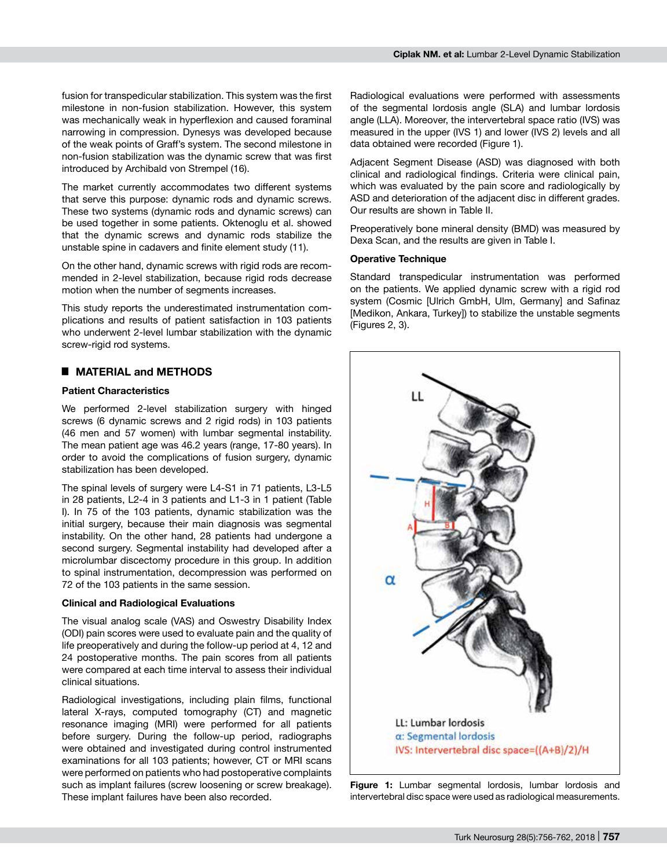fusion for transpedicular stabilization. This system was the first milestone in non-fusion stabilization. However, this system was mechanically weak in hyperflexion and caused foraminal narrowing in compression. Dynesys was developed because of the weak points of Graff's system. The second milestone in non-fusion stabilization was the dynamic screw that was first introduced by Archibald von Strempel (16).

The market currently accommodates two different systems that serve this purpose: dynamic rods and dynamic screws. These two systems (dynamic rods and dynamic screws) can be used together in some patients. Oktenoglu et al. showed that the dynamic screws and dynamic rods stabilize the unstable spine in cadavers and finite element study (11).

On the other hand, dynamic screws with rigid rods are recommended in 2-level stabilization, because rigid rods decrease motion when the number of segments increases.

This study reports the underestimated instrumentation complications and results of patient satisfaction in 103 patients who underwent 2-level lumbar stabilization with the dynamic screw-rigid rod systems.

## █ **MATERIAL and METHODS**

#### **Patient Characteristics**

We performed 2-level stabilization surgery with hinged screws (6 dynamic screws and 2 rigid rods) in 103 patients (46 men and 57 women) with lumbar segmental instability. The mean patient age was 46.2 years (range, 17-80 years). In order to avoid the complications of fusion surgery, dynamic stabilization has been developed.

The spinal levels of surgery were L4-S1 in 71 patients, L3-L5 in 28 patients, L2-4 in 3 patients and L1-3 in 1 patient (Table I). In 75 of the 103 patients, dynamic stabilization was the initial surgery, because their main diagnosis was segmental instability. On the other hand, 28 patients had undergone a second surgery. Segmental instability had developed after a microlumbar discectomy procedure in this group. In addition to spinal instrumentation, decompression was performed on 72 of the 103 patients in the same session.

#### **Clinical and Radiological Evaluations**

The visual analog scale (VAS) and Oswestry Disability Index (ODI) pain scores were used to evaluate pain and the quality of life preoperatively and during the follow-up period at 4, 12 and 24 postoperative months. The pain scores from all patients were compared at each time interval to assess their individual clinical situations.

Radiological investigations, including plain films, functional lateral X-rays, computed tomography (CT) and magnetic resonance imaging (MRI) were performed for all patients before surgery. During the follow-up period, radiographs were obtained and investigated during control instrumented examinations for all 103 patients; however, CT or MRI scans were performed on patients who had postoperative complaints such as implant failures (screw loosening or screw breakage). These implant failures have been also recorded.

Radiological evaluations were performed with assessments of the segmental lordosis angle (SLA) and lumbar lordosis angle (LLA). Moreover, the intervertebral space ratio (IVS) was measured in the upper (IVS 1) and lower (IVS 2) levels and all data obtained were recorded (Figure 1).

Adjacent Segment Disease (ASD) was diagnosed with both clinical and radiological findings. Criteria were clinical pain, which was evaluated by the pain score and radiologically by ASD and deterioration of the adjacent disc in different grades. Our results are shown in Table II.

Preoperatively bone mineral density (BMD) was measured by Dexa Scan, and the results are given in Table I.

#### **Operative Technique**

Standard transpedicular instrumentation was performed on the patients. We applied dynamic screw with a rigid rod system (Cosmic [Ulrich GmbH, Ulm, Germany] and Safinaz [Medikon, Ankara, Turkey]) to stabilize the unstable segments (Figures 2, 3).



**Figure 1:** Lumbar segmental lordosis, lumbar lordosis and intervertebral disc space were used as radiological measurements.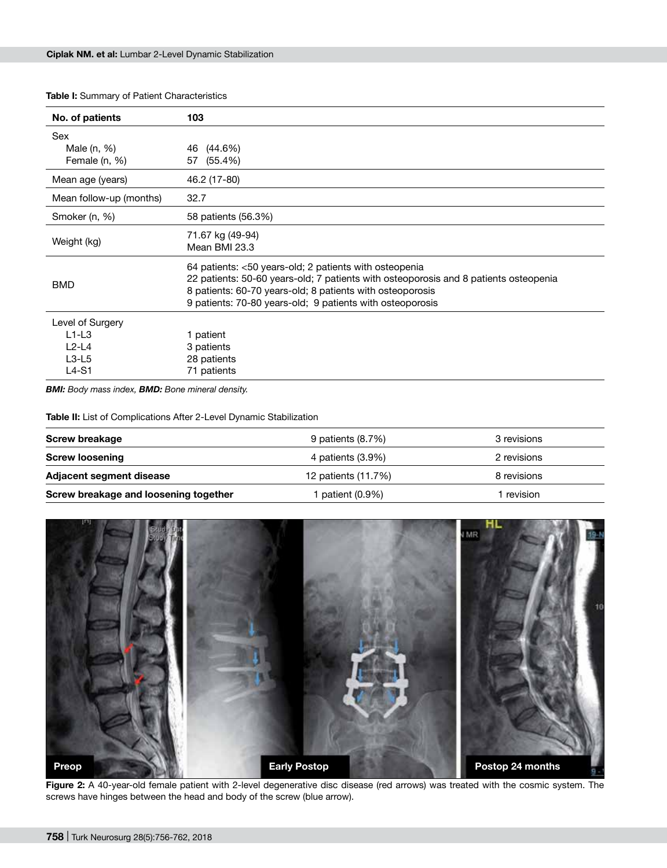| No. of patients         | 103                                                                                  |  |  |
|-------------------------|--------------------------------------------------------------------------------------|--|--|
| Sex                     |                                                                                      |  |  |
| Male (n, %)             | 46 (44.6%)                                                                           |  |  |
| Female (n, %)           | 57 (55.4%)                                                                           |  |  |
| Mean age (years)        | 46.2 (17-80)                                                                         |  |  |
| Mean follow-up (months) | 32.7                                                                                 |  |  |
| Smoker (n, %)           | 58 patients (56.3%)                                                                  |  |  |
| Weight (kg)             | 71.67 kg (49-94)                                                                     |  |  |
|                         | Mean BMI 23.3                                                                        |  |  |
| <b>BMD</b>              | 64 patients: <50 years-old; 2 patients with osteopenia                               |  |  |
|                         | 22 patients: 50-60 years-old; 7 patients with osteoporosis and 8 patients osteopenia |  |  |
|                         | 8 patients: 60-70 years-old; 8 patients with osteoporosis                            |  |  |
|                         | 9 patients: 70-80 years-old; 9 patients with osteoporosis                            |  |  |
| Level of Surgery        |                                                                                      |  |  |
| $L1-L3$                 | 1 patient                                                                            |  |  |
| $L2-L4$                 | 3 patients                                                                           |  |  |
| $L3-L5$                 | 28 patients                                                                          |  |  |
| $L4-S1$                 | 71 patients                                                                          |  |  |

*BMI: Body mass index, BMD: Bone mineral density.*

**Table II:** List of Complications After 2-Level Dynamic Stabilization

| Screw breakage                        | 9 patients (8.7%)   | 3 revisions |  |
|---------------------------------------|---------------------|-------------|--|
| <b>Screw loosening</b>                | 4 patients (3.9%)   | 2 revisions |  |
| <b>Adjacent segment disease</b>       | 12 patients (11.7%) | 8 revisions |  |
| Screw breakage and loosening together | patient (0.9%)      | revision    |  |



**Figure 2:** A 40-year-old female patient with 2-level degenerative disc disease (red arrows) was treated with the cosmic system. The screws have hinges between the head and body of the screw (blue arrow).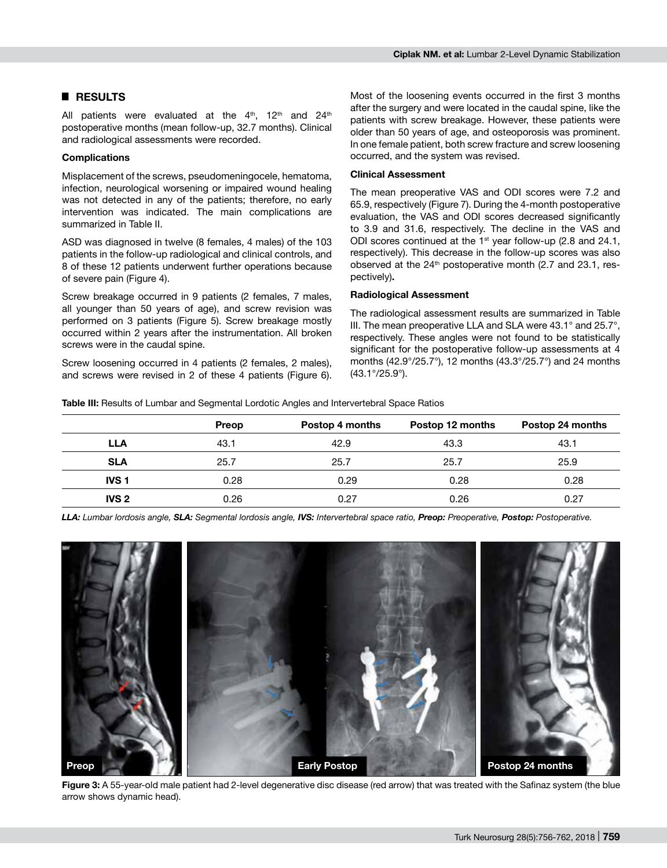# █ **RESULTS**

All patients were evaluated at the  $4<sup>th</sup>$ , 12<sup>th</sup> and 24<sup>th</sup> postoperative months (mean follow-up, 32.7 months). Clinical and radiological assessments were recorded.

## **Complications**

Misplacement of the screws, pseudomeningocele, hematoma, infection, neurological worsening or impaired wound healing was not detected in any of the patients; therefore, no early intervention was indicated. The main complications are summarized in Table II.

ASD was diagnosed in twelve (8 females, 4 males) of the 103 patients in the follow-up radiological and clinical controls, and 8 of these 12 patients underwent further operations because of severe pain (Figure 4).

Screw breakage occurred in 9 patients (2 females, 7 males, all younger than 50 years of age), and screw revision was performed on 3 patients (Figure 5). Screw breakage mostly occurred within 2 years after the instrumentation. All broken screws were in the caudal spine.

Screw loosening occurred in 4 patients (2 females, 2 males), and screws were revised in 2 of these 4 patients (Figure 6).

Most of the loosening events occurred in the first 3 months after the surgery and were located in the caudal spine, like the patients with screw breakage. However, these patients were older than 50 years of age, and osteoporosis was prominent. In one female patient, both screw fracture and screw loosening occurred, and the system was revised.

### **Clinical Assessment**

The mean preoperative VAS and ODI scores were 7.2 and 65.9, respectively (Figure 7). During the 4-month postoperative evaluation, the VAS and ODI scores decreased significantly to 3.9 and 31.6, respectively. The decline in the VAS and ODI scores continued at the 1<sup>st</sup> year follow-up (2.8 and 24.1, respectively). This decrease in the follow-up scores was also observed at the 24<sup>th</sup> postoperative month (2.7 and 23.1, respectively)**.**

### **Radiological Assessment**

The radiological assessment results are summarized in Table III. The mean preoperative LLA and SLA were 43.1° and 25.7°, respectively. These angles were not found to be statistically significant for the postoperative follow-up assessments at 4 months (42.9°/25.7°), 12 months (43.3°/25.7°) and 24 months (43.1°/25.9°).

**Table III:** Results of Lumbar and Segmental Lordotic Angles and Intervertebral Space Ratios

|                  | Preop | Postop 4 months | Postop 12 months | Postop 24 months |
|------------------|-------|-----------------|------------------|------------------|
| LLA              | 43.1  | 42.9            | 43.3             | 43.1             |
| <b>SLA</b>       | 25.7  | 25.7            | 25.7             | 25.9             |
| <b>IVS1</b>      | 0.28  | 0.29            | 0.28             | 0.28             |
| IVS <sub>2</sub> | 0.26  | 0.27            | 0.26             | 0.27             |

*LLA: Lumbar lordosis angle, SLA: Segmental lordosis angle, IVS: Intervertebral space ratio, Preop: Preoperative, Postop: Postoperative.*



**Figure 3:** A 55-year-old male patient had 2-level degenerative disc disease (red arrow) that was treated with the Safinaz system (the blue arrow shows dynamic head).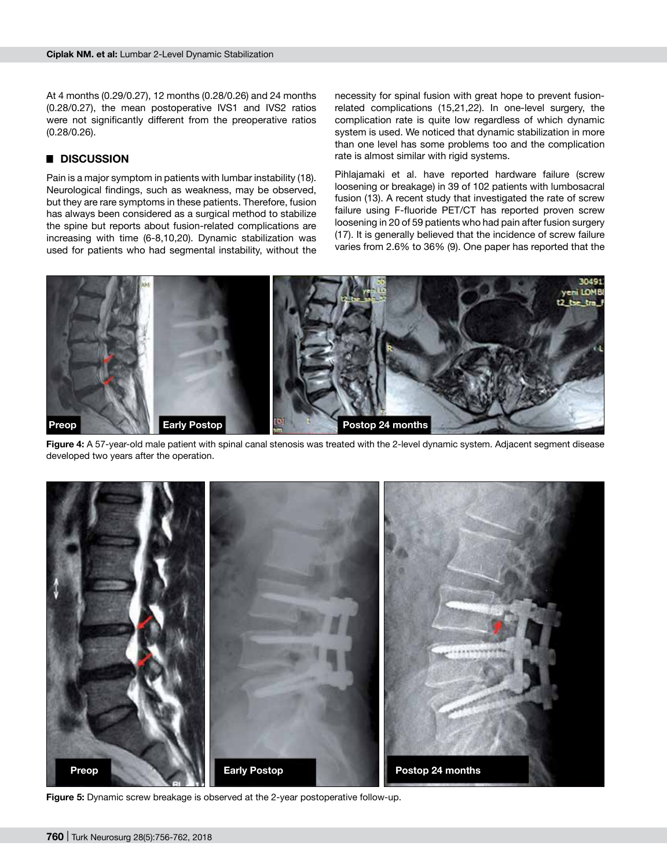At 4 months (0.29/0.27), 12 months (0.28/0.26) and 24 months (0.28/0.27), the mean postoperative IVS1 and IVS2 ratios were not significantly different from the preoperative ratios (0.28/0.26).

# █ **DISCUSSION**

Pain is a major symptom in patients with lumbar instability (18). Neurological findings, such as weakness, may be observed, but they are rare symptoms in these patients. Therefore, fusion has always been considered as a surgical method to stabilize the spine but reports about fusion-related complications are increasing with time (6-8,10,20). Dynamic stabilization was used for patients who had segmental instability, without the

necessity for spinal fusion with great hope to prevent fusionrelated complications (15,21,22). In one-level surgery, the complication rate is quite low regardless of which dynamic system is used. We noticed that dynamic stabilization in more than one level has some problems too and the complication rate is almost similar with rigid systems.

Pihlajamaki et al. have reported hardware failure (screw loosening or breakage) in 39 of 102 patients with lumbosacral fusion (13). A recent study that investigated the rate of screw failure using F-fluoride PET/CT has reported proven screw loosening in 20 of 59 patients who had pain after fusion surgery (17). It is generally believed that the incidence of screw failure varies from 2.6% to 36% (9). One paper has reported that the



**Figure 4:** A 57-year-old male patient with spinal canal stenosis was treated with the 2-level dynamic system. Adjacent segment disease developed two years after the operation.



**Figure 5:** Dynamic screw breakage is observed at the 2-year postoperative follow-up.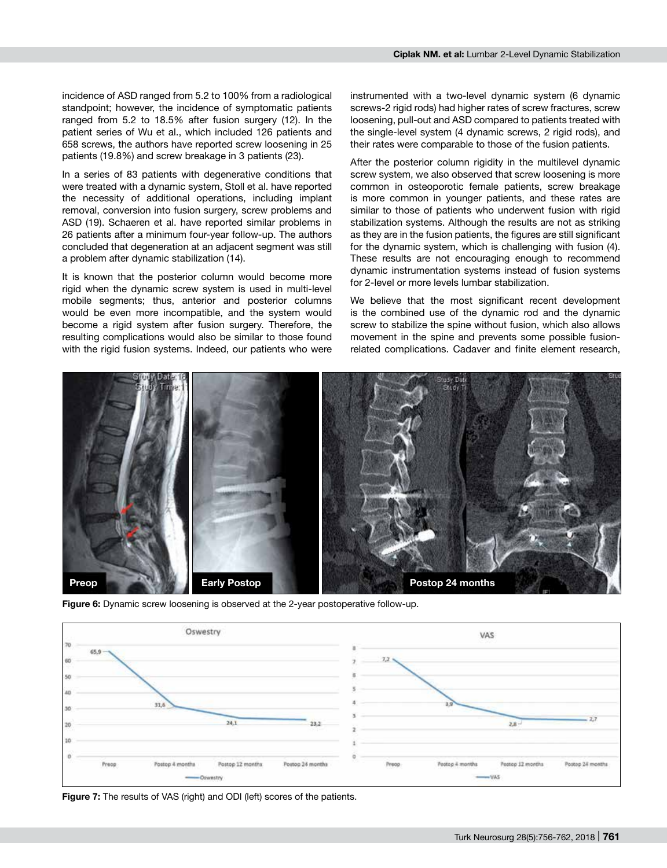incidence of ASD ranged from 5.2 to 100% from a radiological standpoint; however, the incidence of symptomatic patients ranged from 5.2 to 18.5% after fusion surgery (12). In the patient series of Wu et al., which included 126 patients and 658 screws, the authors have reported screw loosening in 25 patients (19.8%) and screw breakage in 3 patients (23).

In a series of 83 patients with degenerative conditions that were treated with a dynamic system, Stoll et al. have reported the necessity of additional operations, including implant removal, conversion into fusion surgery, screw problems and ASD (19). Schaeren et al. have reported similar problems in 26 patients after a minimum four-year follow-up. The authors concluded that degeneration at an adjacent segment was still a problem after dynamic stabilization (14).

It is known that the posterior column would become more rigid when the dynamic screw system is used in multi-level mobile segments; thus, anterior and posterior columns would be even more incompatible, and the system would become a rigid system after fusion surgery. Therefore, the resulting complications would also be similar to those found with the rigid fusion systems. Indeed, our patients who were instrumented with a two-level dynamic system (6 dynamic screws-2 rigid rods) had higher rates of screw fractures, screw loosening, pull-out and ASD compared to patients treated with the single-level system (4 dynamic screws, 2 rigid rods), and their rates were comparable to those of the fusion patients.

After the posterior column rigidity in the multilevel dynamic screw system, we also observed that screw loosening is more common in osteoporotic female patients, screw breakage is more common in younger patients, and these rates are similar to those of patients who underwent fusion with rigid stabilization systems. Although the results are not as striking as they are in the fusion patients, the figures are still significant for the dynamic system, which is challenging with fusion (4). These results are not encouraging enough to recommend dynamic instrumentation systems instead of fusion systems for 2-level or more levels lumbar stabilization.

We believe that the most significant recent development is the combined use of the dynamic rod and the dynamic screw to stabilize the spine without fusion, which also allows movement in the spine and prevents some possible fusionrelated complications. Cadaver and finite element research,



**Figure 6:** Dynamic screw loosening is observed at the 2-year postoperative follow-up.



**Figure 7:** The results of VAS (right) and ODI (left) scores of the patients.